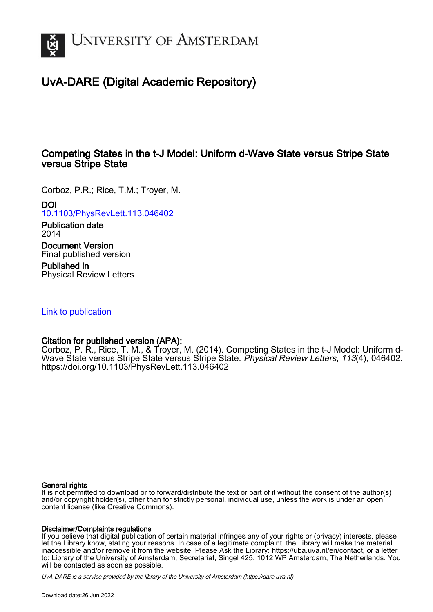

# UvA-DARE (Digital Academic Repository)

## Competing States in the t-J Model: Uniform d-Wave State versus Stripe State versus Stripe State

Corboz, P.R.; Rice, T.M.; Troyer, M. DOI

[10.1103/PhysRevLett.113.046402](https://doi.org/10.1103/PhysRevLett.113.046402)

Publication date 2014

Document Version Final published version

Published in Physical Review Letters

[Link to publication](https://dare.uva.nl/personal/pure/en/publications/competing-states-in-the-tj-model-uniform-dwave-state-versus-stripe-state-versus-stripe-state(c5dfbb8d-7f03-4900-837a-6d8a3f77c3e4).html)

### Citation for published version (APA):

Corboz, P. R., Rice, T. M., & Troyer, M. (2014). Competing States in the t-J Model: Uniform d-Wave State versus Stripe State versus Stripe State. Physical Review Letters, 113(4), 046402. <https://doi.org/10.1103/PhysRevLett.113.046402>

#### General rights

It is not permitted to download or to forward/distribute the text or part of it without the consent of the author(s) and/or copyright holder(s), other than for strictly personal, individual use, unless the work is under an open content license (like Creative Commons).

#### Disclaimer/Complaints regulations

If you believe that digital publication of certain material infringes any of your rights or (privacy) interests, please let the Library know, stating your reasons. In case of a legitimate complaint, the Library will make the material inaccessible and/or remove it from the website. Please Ask the Library: https://uba.uva.nl/en/contact, or a letter to: Library of the University of Amsterdam, Secretariat, Singel 425, 1012 WP Amsterdam, The Netherlands. You will be contacted as soon as possible.

UvA-DARE is a service provided by the library of the University of Amsterdam (http*s*://dare.uva.nl)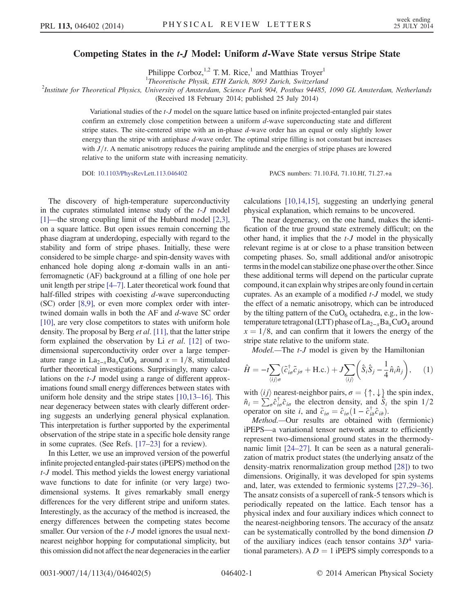#### Competing States in the t-J Model: Uniform d-Wave State versus Stripe State

Philippe Corboz,<sup>1,2</sup> T. M. Rice,<sup>1</sup> and Matthias Troyer<sup>1</sup>

<sup>1</sup>Theoretische Physik, ETH Zurich, 8093 Zurich, Switzerland

2 Institute for Theoretical Physics, University of Amsterdam, Science Park 904, Postbus 94485, 1090 GL Amsterdam, Netherlands

(Received 18 February 2014; published 25 July 2014)

Variational studies of the t-J model on the square lattice based on infinite projected-entangled pair states confirm an extremely close competition between a uniform d-wave superconducting state and different stripe states. The site-centered stripe with an in-phase  $d$ -wave order has an equal or only slightly lower energy than the stripe with antiphase d-wave order. The optimal stripe filling is not constant but increases with  $J/t$ . A nematic anisotropy reduces the pairing amplitude and the energies of stripe phases are lowered relative to the uniform state with increasing nematicity.

DOI: [10.1103/PhysRevLett.113.046402](http://dx.doi.org/10.1103/PhysRevLett.113.046402) PACS numbers: 71.10.Fd, 71.10.Hf, 71.27.+a

The discovery of high-temperature superconductivity in the cuprates stimulated intense study of the t-J model [\[1\]](#page-4-0)—the strong coupling limit of the Hubbard model [\[2,3\]](#page-4-1), on a square lattice. But open issues remain concerning the phase diagram at underdoping, especially with regard to the stability and form of stripe phases. Initially, these were considered to be simple charge- and spin-density waves with enhanced hole doping along  $\pi$ -domain walls in an antiferromagnetic (AF) background at a filling of one hole per unit length per stripe [\[4](#page-4-2)–7]. Later theoretical work found that half-filled stripes with coexisting  $d$ -wave superconducting (SC) order [\[8,9\]](#page-5-0), or even more complex order with intertwined domain walls in both the AF and d-wave SC order [\[10\],](#page-5-1) are very close competitors to states with uniform hole density. The proposal by Berg et al. [\[11\],](#page-5-2) that the latter stripe form explained the observation by Li et al. [\[12\]](#page-5-3) of twodimensional superconductivity order over a large temperature range in La<sub>2−x</sub>Ba<sub>x</sub>CuO<sub>4</sub> around  $x = 1/8$ , stimulated further theoretical investigations. Surprisingly, many calculations on the t-J model using a range of different approximations found small energy differences between states with uniform hole density and the stripe states [\[10,13](#page-5-1)–16]. This near degeneracy between states with clearly different ordering suggests an underlying general physical explanation. This interpretation is further supported by the experimental observation of the stripe state in a specific hole density range in some cuprates. (See Refs. [\[17](#page-5-4)–23] for a review).

In this Letter, we use an improved version of the powerful infinite projected entangled-pair states (iPEPS) method on the t-J model. This method yields the lowest energy variational wave functions to date for infinite (or very large) twodimensional systems. It gives remarkably small energy differences for the very different stripe and uniform states. Interestingly, as the accuracy of the method is increased, the energy differences between the competing states become smaller. Our version of the *t*-*J* model ignores the usual nextnearest neighbor hopping for computational simplicity, but this omission did not affect the near degeneracies in the earlier calculations [\[10,14,15\],](#page-5-1) suggesting an underlying general physical explanation, which remains to be uncovered.

The near degeneracy, on the one hand, makes the identification of the true ground state extremely difficult; on the other hand, it implies that the t-J model in the physically relevant regime is at or close to a phase transition between competing phases. So, small additional and/or anisotropic terms in the model can stabilize one phase over the other. Since these additional terms will depend on the particular cuprate compound, it can explain why stripes are only found in certain cuprates. As an example of a modified t-J model, we study the effect of a nematic anisotropy, which can be introduced by the tilting pattern of the  $CuO<sub>6</sub>$  octahedra, e.g., in the lowtemperature tetragonal (LTT) phase of  $\text{La}_{2-x}\text{Ba}_x\text{CuO}_4$  around  $x = 1/8$ , and can confirm that it lowers the energy of the stripe state relative to the uniform state.

Model.—The *t-J* model is given by the Hamiltonian

$$
\hat{H} = -t \sum_{\langle ij \rangle \sigma} (\tilde{c}_{i\sigma}^{\dagger} \tilde{c}_{j\sigma} + \text{H.c.}) + J \sum_{\langle ij \rangle} \left( \hat{S}_i \hat{S}_j - \frac{1}{4} \hat{n}_i \hat{n}_j \right), \quad (1)
$$

with  $\langle ij \rangle$  nearest-neighbor pairs,  $\sigma = \{ \uparrow, \downarrow \}$  the spin index,  $\hat{n}_i = \sum_{i}^{\infty} \hat{c}_{i\sigma}^{\dagger} \hat{c}_{i\sigma}$  the electron density, and  $\hat{S}_i$  the spin 1/2 operator on site *i* and  $\hat{c}_i = \hat{c}_i (1 - \hat{c}_i^{\dagger} \hat{c}_{i\sigma})$ operator on site *i*, and  $\tilde{c}_{i\sigma} = \hat{c}_{i\sigma} (1 - \hat{c}_{i\bar{\sigma}}^{\dagger} \hat{c}_{i\bar{\sigma}})$ .<br> *Method* —Our results are obtained with

Method.—Our results are obtained with (fermionic) iPEPS—a variational tensor network ansatz to efficiently represent two-dimensional ground states in the thermodynamic limit [\[24](#page-5-5)–27]. It can be seen as a natural generalization of matrix product states (the underlying ansatz of the density-matrix renormalization group method [\[28\]\)](#page-5-6) to two dimensions. Originally, it was developed for spin systems and, later, was extended to fermionic systems [\[27,29](#page-5-7)–36]. The ansatz consists of a supercell of rank-5 tensors which is periodically repeated on the lattice. Each tensor has a physical index and four auxiliary indices which connect to the nearest-neighboring tensors. The accuracy of the ansatz can be systematically controlled by the bond dimension D of the auxiliary indices (each tensor contains  $3D<sup>4</sup>$  variational parameters). A  $D = 1$  iPEPS simply corresponds to a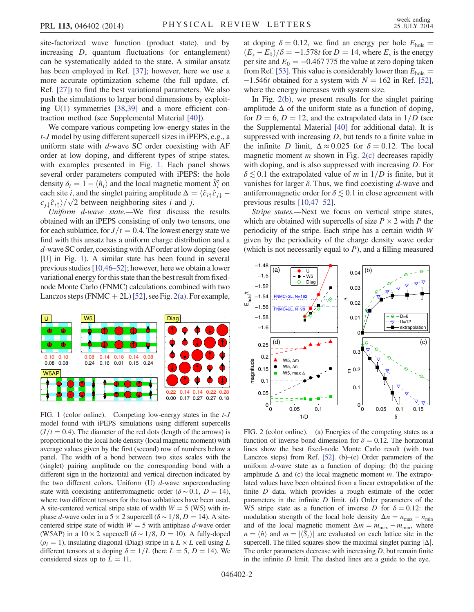site-factorized wave function (product state), and by increasing D, quantum fluctuations (or entanglement) can be systematically added to the state. A similar ansatz has been employed in Ref. [\[37\]](#page-5-8); however, here we use a more accurate optimization scheme (the full update, cf. Ref. [\[27\]](#page-5-7)) to find the best variational parameters. We also push the simulations to larger bond dimensions by exploiting U(1) symmetries [\[38,39\]](#page-5-9) and a more efficient contraction method (see Supplemental Material [\[40\]\)](#page-5-10).

We compare various competing low-energy states in the t-J model by using different supercell sizes in iPEPS, e.g., a uniform state with  $d$ -wave SC order coexisting with  $AF$ order at low doping, and different types of stripe states, with examples presented in Fig. [1.](#page-2-0) Each panel shows several order parameters computed with iPEPS: the hole density  $\delta_i = 1 - \langle \hat{n}_i \rangle$  and the local magnetic moment  $\hat{S}_i^z$  on each site *i* and the singlet pairing amplitude  $\Delta = \langle \hat{c}_1, \hat{c}_2 \rangle$ each site *i*, and the singlet pairing amplitude  $\Delta = \langle \hat{c}_{i\uparrow} \hat{c}_{j\downarrow} - \hat{c}_{i\uparrow} \hat{c}_{j\downarrow} \rangle$  $c_{j\downarrow}\hat{c}_{i\uparrow}/\sqrt{2}$  between neighboring sites *i* and *j*.<br>*Iniform d-wave state* —We first discuss

Uniform d-wave state.—We first discuss the results obtained with an iPEPS consisting of only two tensors, one for each sublattice, for  $J/t = 0.4$ . The lowest energy state we find with this ansatz has a uniform charge distribution and a d-wave SC order, coexisting with AF order at low doping (see [U] in Fig. [1\)](#page-2-0). A similar state has been found in several previous studies[\[10,46](#page-5-1)–52]; however, here we obtain a lower variational energy for this state than the best result from fixednode Monte Carlo (FNMC) calculations combined with two Lanczos steps (FNMC  $+ 2L$ ) [\[52\],](#page-5-11) see Fig. [2\(a\)](#page-2-1). For example,

<span id="page-2-0"></span>

FIG. 1 (color online). Competing low-energy states in the t-J model found with iPEPS simulations using different supercells  $(J/t = 0.4)$ . The diameter of the red dots (length of the arrows) is proportional to the local hole density (local magnetic moment) with average values given by the first (second) row of numbers below a panel. The width of a bond between two sites scales with the (singlet) pairing amplitude on the corresponding bond with a different sign in the horizontal and vertical direction indicated by the two different colors. Uniform  $(U)$  d-wave superconducting state with coexisting antiferromagnetic order ( $\delta \sim 0.1$ ,  $D = 14$ ), where two different tensors for the two sublattices have been used. A site-centered vertical stripe state of width  $W = 5$  (W5) with inphase d-wave order in a 5 × 2 supercell ( $\delta \sim 1/8$ , D = 14). A sitecentered stripe state of width  $W = 5$  with antiphase d-wave order (W5AP) in a  $10 \times 2$  supercell ( $\delta \sim 1/8$ ,  $D = 10$ ). A fully-doped  $(\rho_l = 1)$ , insulating diagonal (Diag) stripe in a  $L \times L$  cell using L different tensors at a doping  $\delta = 1/L$  (here  $L = 5$ ,  $D = 14$ ). We considered sizes up to  $L = 11$ .

at doping  $\delta = 0.12$ , we find an energy per hole  $E_{\text{hole}} =$  $(E_s - E_0)/\delta = -1.578t$  for  $D = 14$ , where  $E_s$  is the energy per site and  $E_0 = -0.467775$  the value at zero doping taken from Ref. [\[53\]](#page-5-12). This value is considerably lower than  $E_{\text{hole}} =$  $-1.546t$  obtained for a system with  $N = 162$  in Ref. [\[52\]](#page-5-11), where the energy increases with system size.

In Fig. [2\(b\)](#page-2-1), we present results for the singlet pairing amplitude  $\Delta$  of the uniform state as a function of doping, for  $D = 6$ ,  $D = 12$ , and the extrapolated data in  $1/D$  (see the Supplemental Material [\[40\]](#page-5-10) for additional data). It is suppressed with increasing  $D$ , but tends to a finite value in the infinite D limit,  $\Delta \approx 0.025$  for  $\delta = 0.12$ . The local magnetic moment  $m$  shown in Fig.  $2(c)$  decreases rapidly with doping, and is also suppressed with increasing D. For  $\delta \lesssim 0.1$  the extrapolated value of m in  $1/D$  is finite, but it vanishes for larger  $\delta$ . Thus, we find coexisting  $d$ -wave and antiferromagnetic order for  $\delta \lesssim 0.1$  in close agreement with previous results [\[10,47](#page-5-1)–52].

Stripe states.—Next we focus on vertical stripe states, which are obtained with supercells of size  $P \times 2$  with P the periodicity of the stripe. Each stripe has a certain width W given by the periodicity of the charge density wave order (which is not necessarily equal to  $P$ ), and a filling measured

<span id="page-2-1"></span>

FIG. 2 (color online). (a) Energies of the competing states as a function of inverse bond dimension for  $\delta = 0.12$ . The horizontal lines show the best fixed-node Monte Carlo result (with two Lanczos steps) from Ref. [\[52\].](#page-5-11) (b)–(c) Order parameters of the uniform  $d$ -wave state as a function of doping: (b) the pairing amplitude  $\Delta$  and (c) the local magnetic moment m. The extrapolated values have been obtained from a linear extrapolation of the finite D data, which provides a rough estimate of the order parameters in the infinite  $D$  limit. (d) Order parameters of the W5 stripe state as a function of inverse D for  $\delta = 0.12$ : the modulation strength of the local hole density  $\Delta n = n_{\text{max}} - n_{\text{min}}$ and of the local magnetic moment  $\Delta m = m_{\text{max}} - m_{\text{min}}$ , where  $n = \langle \hat{n} \rangle$  and  $m = |\langle \hat{S}_z \rangle|$  are evaluated on each lattice site in the supercell. The filled squares show the maximal singlet pairing  $|\Delta|$ . The order parameters decrease with increasing  $D$ , but remain finite in the infinite  $D$  limit. The dashed lines are a guide to the eye.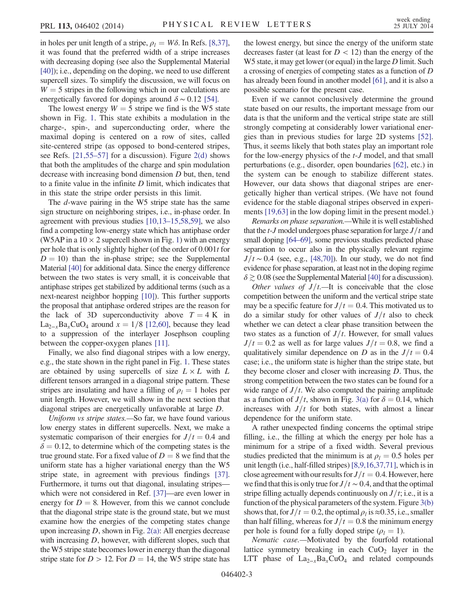in holes per unit length of a stripe,  $\rho_l = W\delta$ . In Refs. [\[8,37\]](#page-5-0), it was found that the preferred width of a stripe increases with decreasing doping (see also the Supplemental Material [\[40\]\)](#page-5-10); i.e., depending on the doping, we need to use different supercell sizes. To simplify the discussion, we will focus on  $W = 5$  stripes in the following which in our calculations are energetically favored for dopings around  $\delta \sim 0.12$  [\[54\].](#page-5-13)

The lowest energy  $W = 5$  stripe we find is the W5 state shown in Fig. [1.](#page-2-0) This state exhibits a modulation in the charge-, spin-, and superconducting order, where the maximal doping is centered on a row of sites, called site-centered stripe (as opposed to bond-centered stripes, see Refs. [\[21,55](#page-5-14)–57] for a discussion). Figure [2\(d\)](#page-2-1) shows that both the amplitudes of the charge and spin modulation decrease with increasing bond dimension D but, then, tend to a finite value in the infinite D limit, which indicates that in this state the stripe order persists in this limit.

The d-wave pairing in the W5 stripe state has the same sign structure on neighboring stripes, i.e., in-phase order. In agreement with previous studies [10,13–[15,58,59\]](#page-5-1), we also find a competing low-energy state which has antiphase order (W5AP in a  $10 \times 2$  $10 \times 2$  supercell shown in Fig. 1) with an energy per hole that is only slightly higher (of the order of 0.001t for  $D = 10$ ) than the in-phase stripe; see the Supplemental Material [\[40\]](#page-5-10) for additional data. Since the energy difference between the two states is very small, it is conceivable that antiphase stripes get stabilized by additional terms (such as a next-nearest neighbor hopping [\[10\]\)](#page-5-1). This further supports the proposal that antiphase ordered stripes are the reason for the lack of 3D superconductivity above  $T = 4$  K in La<sub>2−x</sub>Ba<sub>x</sub>CuO<sub>4</sub> around  $x = 1/8$  [\[12,60\],](#page-5-3) because they lead to a suppression of the interlayer Josephson coupling between the copper-oxygen planes [\[11\].](#page-5-2)

Finally, we also find diagonal stripes with a low energy, e.g., the state shown in the right panel in Fig. [1.](#page-2-0) These states are obtained by using supercells of size  $L \times L$  with L different tensors arranged in a diagonal stripe pattern. These stripes are insulating and have a filling of  $\rho_l = 1$  holes per unit length. However, we will show in the next section that diagonal stripes are energetically unfavorable at large D.

Uniform vs stripe states.—So far, we have found various low energy states in different supercells. Next, we make a systematic comparison of their energies for  $J/t = 0.4$  and  $\delta = 0.12$ , to determine which of the competing states is the true ground state. For a fixed value of  $D = 8$  we find that the uniform state has a higher variational energy than the W5 stripe state, in agreement with previous findings [\[37\]](#page-5-8). Furthermore, it turns out that diagonal, insulating stripes which were not considered in Ref. [\[37\]](#page-5-8)—are even lower in energy for  $D = 8$ . However, from this we cannot conclude that the diagonal stripe state is the ground state, but we must examine how the energies of the competing states change upon increasing  $D$ , shown in Fig.  $2(a)$ : All energies decrease with increasing D, however, with different slopes, such that theW5 stripe state becomes lower in energy than the diagonal stripe state for  $D > 12$ . For  $D = 14$ , the W5 stripe state has the lowest energy, but since the energy of the uniform state decreases faster (at least for  $D < 12$ ) than the energy of the W5 state, it may get lower (or equal) in the large D limit. Such a crossing of energies of competing states as a function of D has already been found in another model [\[61\]](#page-5-15), and it is also a possible scenario for the present case.

Even if we cannot conclusively determine the ground state based on our results, the important message from our data is that the uniform and the vertical stripe state are still strongly competing at considerably lower variational energies than in previous studies for large 2D systems [\[52\]](#page-5-11). Thus, it seems likely that both states play an important role for the low-energy physics of the t-J model, and that small perturbations (e.g., disorder, open boundaries [\[62\]](#page-5-16), etc.) in the system can be enough to stabilize different states. However, our data shows that diagonal stripes are energetically higher than vertical stripes. (We have not found evidence for the stable diagonal stripes observed in experiments [\[19,63\]](#page-5-17) in the low doping limit in the present model.)

Remarks on phase separation.—While it is well established that the  $t-J$  model undergoes phase separation for large  $J/t$  and small doping [\[64](#page-5-18)–69], some previous studies predicted phase separation to occur also in the physically relevant regime  $J/t \sim 0.4$  (see, e.g., [\[48,70\]](#page-5-19)). In our study, we do not find evidence for phase separation, at least not in the doping regime  $\delta \gtrsim 0.08$  (see the Supplemental Material [\[40\]](#page-5-10) for a discussion).

Other values of  $J/t$ .—It is conceivable that the close competition between the uniform and the vertical stripe state may be a specific feature for  $J/t = 0.4$ . This motivated us to do a similar study for other values of  $J/t$  also to check whether we can detect a clear phase transition between the two states as a function of  $J/t$ . However, for small values  $J/t = 0.2$  as well as for large values  $J/t = 0.8$ , we find a qualitatively similar dependence on D as in the  $J/t = 0.4$ case; i.e., the uniform state is higher than the stripe state, but they become closer and closer with increasing D. Thus, the strong competition between the two states can be found for a wide range of  $J/t$ . We also computed the pairing amplitude as a function of  $J/t$ , shown in Fig. [3\(a\)](#page-4-3) for  $\delta = 0.14$ , which increases with  $J/t$  for both states, with almost a linear dependence for the uniform state.

A rather unexpected finding concerns the optimal stripe filling, i.e., the filling at which the energy per hole has a minimum for a stripe of a fixed width. Several previous studies predicted that the minimum is at  $\rho_1 = 0.5$  holes per unit length (i.e., half-filled stripes) [\[8,9,16,37,71\],](#page-5-0) which is in close agreement with our results for  $J/t = 0.4$ . However, here we find that this is only true for  $J/t \sim 0.4$ , and that the optimal stripe filling actually depends continuously on  $J/t$ ; i.e., it is a function of the physical parameters of the system. Figure [3\(b\)](#page-4-3) shows that, for  $J/t = 0.2$ , the optimal  $\rho_l$  is ≈0.35, i.e., smaller than half filling, whereas for  $J/t = 0.8$  the minimum energy per hole is found for a fully doped stripe ( $\rho_l = 1$ ).

Nematic case.—Motivated by the fourfold rotational lattice symmetry breaking in each  $CuO<sub>2</sub>$  layer in the LTT phase of  $La_{2-x}Ba_xCuO_4$  and related compounds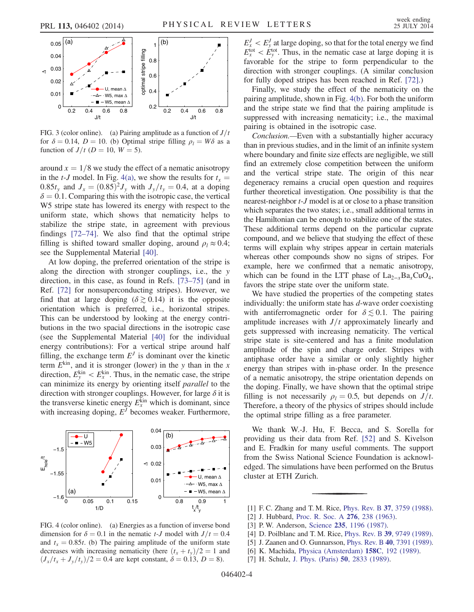<span id="page-4-3"></span>

FIG. 3 (color online). (a) Pairing amplitude as a function of  $J/t$ for  $\delta = 0.14$ ,  $D = 10$ . (b) Optimal stripe filling  $\rho_l = W\delta$  as a function of  $J/t$  ( $D = 10$ ,  $W = 5$ ).

around  $x = 1/8$  we study the effect of a nematic anisotropy in the t-J model. In Fig. [4\(a\),](#page-4-4) we show the results for  $t_x =$ 0.85 $t_v$  and  $J_x = (0.85)^2 J_v$  with  $J_v/t_v = 0.4$ , at a doping  $\delta = 0.1$ . Comparing this with the isotropic case, the vertical W5 stripe state has lowered its energy with respect to the uniform state, which shows that nematicity helps to stabilize the stripe state, in agreement with previous findings [72–[74\].](#page-5-20) We also find that the optimal stripe filling is shifted toward smaller doping, around  $\rho_l \approx 0.4$ ; see the Supplemental Material [\[40\].](#page-5-10)

At low doping, the preferred orientation of the stripe is along the direction with stronger couplings, i.e., the y direction, in this case, as found in Refs. [\[73](#page-5-21)–75] (and in Ref. [\[72\]](#page-5-20) for nonsuperconducting stripes). However, we find that at large doping  $(\delta \gtrsim 0.14)$  it is the opposite orientation which is preferred, i.e., horizontal stripes. This can be understood by looking at the energy contributions in the two spacial directions in the isotropic case (see the Supplemental Material [\[40\]](#page-5-10) for the individual energy contributions): For a vertical stripe around half filling, the exchange term  $E<sup>J</sup>$  is dominant over the kinetic term  $E^{kin}$ , and it is stronger (lower) in the y than in the x direction,  $E_y^{\text{kin}} < E_x^{\text{kin}}$ . Thus, in the nematic case, the stripe can minimize its energy by orienting itself parallel to the direction with stronger couplings. However, for large  $\delta$  it is the transverse kinetic energy  $E_x^{\text{kin}}$  which is dominant, since with increasing doping,  $E<sup>J</sup>$  becomes weaker. Furthermore,

<span id="page-4-4"></span>

FIG. 4 (color online). (a) Energies as a function of inverse bond dimension for  $\delta = 0.1$  in the nematic t-J model with  $J/t = 0.4$ and  $t_x = 0.85t$ . (b) The pairing amplitude of the uniform state decreases with increasing nematicity (here  $(t_x + t_y)/2 = 1$  and  $(J_x/t_x+J_y/t_y)/2 = 0.4$  are kept constant,  $\delta = 0.13, D = 8$ ).

 $E_x^J < E_y^J$  at large doping, so that for the total energy we find  $E_{x}^{\text{tot}} < E_{y}^{\text{tot}}$ . Thus, in the nematic case at large doping it is favorable for the stripe to form perpendicular to the direction with stronger couplings. (A similar conclusion for fully doped stripes has been reached in Ref. [\[72\].](#page-5-20))

Finally, we study the effect of the nematicity on the pairing amplitude, shown in Fig. [4\(b\)](#page-4-4). For both the uniform and the stripe state we find that the pairing amplitude is suppressed with increasing nematicity; i.e., the maximal pairing is obtained in the isotropic case.

Conclusion.—Even with a substantially higher accuracy than in previous studies, and in the limit of an infinite system where boundary and finite size effects are negligible, we still find an extremely close competition between the uniform and the vertical stripe state. The origin of this near degeneracy remains a crucial open question and requires further theoretical investigation. One possibility is that the nearest-neighbor t-J model is at or close to a phase transition which separates the two states; i.e., small additional terms in the Hamiltonian can be enough to stabilize one of the states. These additional terms depend on the particular cuprate compound, and we believe that studying the effect of these terms will explain why stripes appear in certain materials whereas other compounds show no signs of stripes. For example, here we confirmed that a nematic anisotropy, which can be found in the LTT phase of  $La_{2-x}Ba_xCuO_4$ , favors the stripe state over the uniform state.

We have studied the properties of the competing states individually: the uniform state has d-wave order coexisting with antiferromagnetic order for  $\delta \lesssim 0.1$ . The pairing amplitude increases with  $J/t$  approximately linearly and gets suppressed with increasing nematicity. The vertical stripe state is site-centered and has a finite modulation amplitude of the spin and charge order. Stripes with antiphase order have a similar or only slightly higher energy than stripes with in-phase order. In the presence of a nematic anisotropy, the stripe orientation depends on the doping. Finally, we have shown that the optimal stripe filling is not necessarily  $\rho_l = 0.5$ , but depends on  $J/t$ . Therefore, a theory of the physics of stripes should include the optimal stripe filling as a free parameter.

We thank W.-J. Hu, F. Becca, and S. Sorella for providing us their data from Ref. [\[52\]](#page-5-11) and S. Kivelson and E. Fradkin for many useful comments. The support from the Swiss National Science Foundation is acknowledged. The simulations have been performed on the Brutus cluster at ETH Zurich.

- <span id="page-4-1"></span><span id="page-4-0"></span>[1] F. C. Zhang and T. M. Rice, *Phys. Rev. B* 37[, 3759 \(1988\).](http://dx.doi.org/10.1103/PhysRevB.37.3759)
- [2] J. Hubbard, [Proc. R. Soc. A](http://dx.doi.org/10.1098/rspa.1963.0204) 276, 238 (1963).
- <span id="page-4-2"></span>[3] P. W. Anderson, Science 235[, 1196 \(1987\).](http://dx.doi.org/10.1126/science.235.4793.1196)
- [4] D. Poilblanc and T. M. Rice, *Phys. Rev. B* 39[, 9749 \(1989\).](http://dx.doi.org/10.1103/PhysRevB.39.9749)
- [5] J. Zaanen and O. Gunnarsson, Phys. Rev. B 40[, 7391 \(1989\).](http://dx.doi.org/10.1103/PhysRevB.40.7391)
- [6] K. Machida, [Physica \(Amsterdam\)](http://dx.doi.org/10.1016/0921-4534(89)90316-X) 158C, 192 (1989).
- [7] H. Schulz, [J. Phys. \(Paris\)](http://dx.doi.org/10.1051/jphys:0198900500180283300) 50, 2833 (1989).